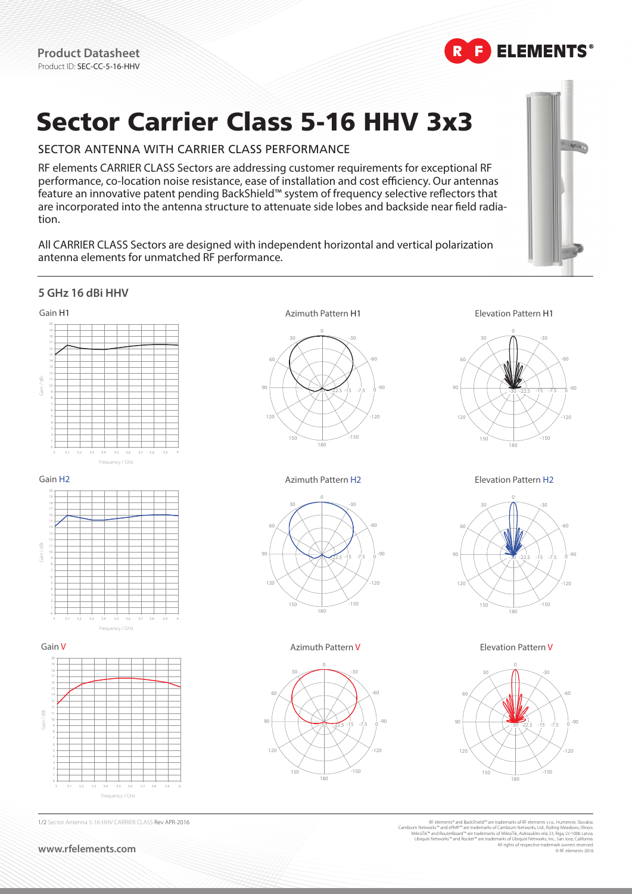

# Sector Carrier Class 5-16 HHV 3x3

# SECTOR ANTENNA WITH CARRIER CLASS PERFORMANCE

RF elements CARRIER CLASS Sectors are addressing customer requirements for exceptional RF performance, co-location noise resistance, ease of installation and cost efficiency. Our antennas feature an innovative patent pending BackShield™ system of frequency selective reflectors that are incorporated into the antenna structure to attenuate side lobes and backside near field radiation.

All CARRIER CLASS Sectors are designed with independent horizontal and vertical polarization antenna elements for unmatched RF performance.



All rights of respective trademark o

© RF elements 2016

#### RF elements\* and BackShield™ are trademarks of RF elements s.r.o., Humenne, Slovakia<br>Cambium Networks\* and eMP<sup>aw</sup> are trademarks of Cambium Networks, Ltd, Rolling Meadows, I<br>MikroTik.<sup>w</sup> and RouterBoard™ are trademarks of 1/2 Sector Antenna 5-16 HHV CARRIER CLASS Rev APR-2016 **5 GHz 16 dBi HHV** 5 5.1 5.2 5.3 5.4 5.5 5.6 5.7 5.8 5.9 6 4 20 16 8 6 18 19 13 9 7 5 3 1 Gain H1 Frequency / GHz -90 -30 30 60 90 120 150 180 -150 -120 -60  $-30$  -22.5  $-15$  -7.5 0 -30 30 60 90 120 150 180 -150 -120 -60  $-30 - 22.5 - 15 - 7.5 = 0$ Azimuth Pattern H1 **Elevation Pattern H1** 5 5.1 5.2 5.3 5.4 5.5 5.6 5.7 5.8 5.9 6 4 20 16 8 6 18 19 13 9 7 5 3 1 Gain H2 Frequency / GHz -90 -30 30 60 90 120 150 180 -150  $120$ -60  $-30$   $-22.5$   $-15$   $-7.5$  0 -30 30 60 90 120 150 180 -150 -120 -60  $-32.5 -15 -7.5 = 0$ Azimuth Pattern H2 **Elevation Pattern H2** 5 5.1 5.2 5.3 5.4 5.5 5.6 5.7 5.8 5.9 6 4 16 8 10 6 18 19 15 9 5 3 Gain V Frequency / GHz -90 -30  $\mathbf 0$ 30 60 90 120 150 180 -150 -120 -60  $-30$   $-30$   $-22.5$   $-15$   $-7.5$  0 -30 0 30 60 90 120 150 180 -150 -120 - -60 -30 -22.5 -15 -7.5 0 Azimuth Pattern V **Elevation Pattern V** Gain / dBi Gain / dBi  $\frac{1}{3}$

**www.rfelements.com**